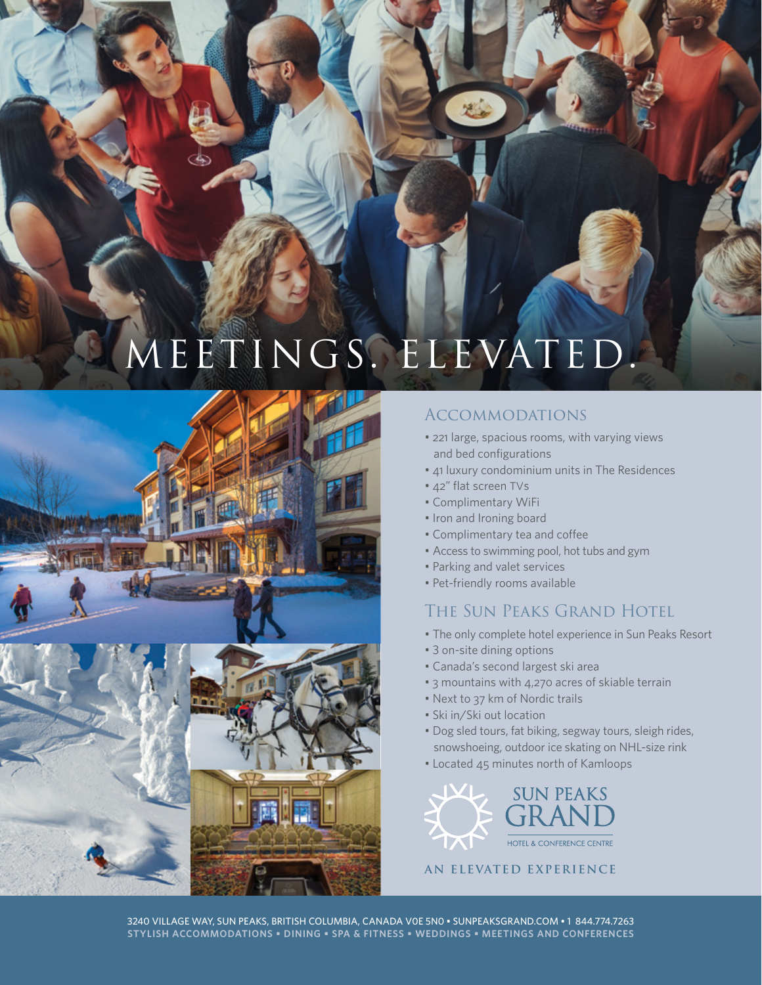# MEETINGS. ELEVATED



## Accommodations

- 221 large, spacious rooms, with varying views and bed configurations
- 41 luxury condominium units in The Residences
- 42" flat screen TVs
- Complimentary WiFi
- Iron and Ironing board
- Complimentary tea and coffee
- Access to swimming pool, hot tubs and gym
- Parking and valet services
- Pet-friendly rooms available

## The Sun Peaks Grand Hotel

- The only complete hotel experience in Sun Peaks Resort
- 3 on-site dining options
- Canada's second largest ski area
- 3 mountains with 4,270 acres of skiable terrain
- Next to 37 km of Nordic trails
- Ski in/Ski out location
- Dog sled tours, fat biking, segway tours, sleigh rides, snowshoeing, outdoor ice skating on NHL-size rink
- Located 45 minutes north of Kamloops



#### **AN ELEVATED EXPERIENCE**